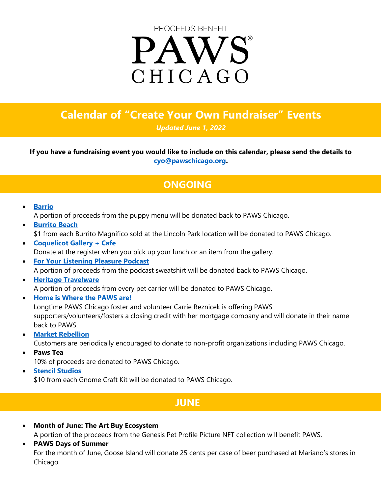

# **Calendar of "Create Your Own Fundraiser" Events**

*Updated June 1, 2022*

**If you have a fundraising event you would like to include on this calendar, please send the details to [cyo@pawschicago.org.](mailto:cyo@pawschicago.org)**

# **ONGOING**

### • **[Barrio](https://www.barriochicago.com/menus/#puppy)**

A portion of proceeds from the puppy menu will be donated back to PAWS Chicago.

- **[Burrito Beach](https://burritobeach.com/)** \$1 from each Burrito Magnifico sold at the Lincoln Park location will be donated to PAWS Chicago. • **[Coquelicot Gallery + Cafe](https://www.coquelicotgallery.com/)**
	- Donate at the register when you pick up your lunch or an item from the gallery.
- **[For Your Listening Pleasure Podcast](•%09https:/instagram.com/foryourlisteningpleasure?utm_medium=copy_link)** A portion of proceeds from the podcast sweatshirt will be donated back to PAWS Chicago.

## • **[Heritage Travelware](https://www.heritagetravelware.com/)** A portion of proceeds from every pet carrier will be donated to PAWS Chicago.

- **[Home is Where the PAWS are!](mailto:carrie@carrierez.com)** Longtime PAWS Chicago foster and volunteer Carrie Reznicek is offering PAWS supporters/volunteers/fosters a closing credit with her mortgage company and will donate in their name back to PAWS.
- **[Market Rebellion](https://marketrebellion.com/?utm_source=adwords&utm_medium=ppc&utm_campaign=Branded%20-%20Market%20Rebellion%20%26%20Investitute%20-%20v1.1&utm_term=market%20rebellion&hsa_acc=6623511997&hsa_cam=8660905910&hsa_grp=93830627904&hsa_ad=411545777178&hsa_src=g&hsa_tgt=kwd-879397091914&hsa_kw=market%20rebellion&hsa_mt=e&hsa_net=adwords&hsa_ver=3&gclid=Cj0KCQjw29CRBhCUARIsAOboZbLQD5nmnkd3uuEukktPRBUXEEJLiR5znOkr_82lHNrq0ef2EDjDsHkaAsc9EALw_wcB)**

Customers are periodically encouraged to donate to non-profit organizations including PAWS Chicago.

• **Paws Tea** 

10% of proceeds are donated to PAWS Chicago.

• **Stencil [Studios](https://stencilstudios.com/)**

\$10 from each Gnome Craft Kit will be donated to PAWS Chicago.

## **JUNE**

• **Month of June: The Art Buy Ecosystem** A portion of the proceeds from the Genesis Pet Profile Picture NFT collection will benefit PAWS.

• **PAWS Days of Summer**  For the month of June, Goose Island will donate 25 cents per case of beer purchased at Mariano's stores in Chicago.